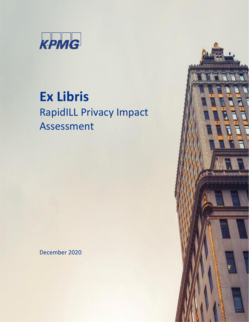

# **Ex Libris** RapidILL Privacy Impact Assessment

December 2020

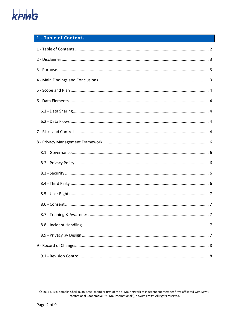

# <span id="page-1-0"></span>1 - Table of Contents

© 2017 KPMG Somekh Chaikin, an Israeli member firm of the KPMG network of independent member firms affiliated with KPMG International Cooperative ("KPMG International"), a Swiss entity. All rights reserved.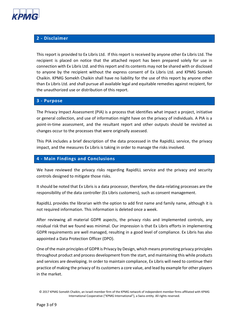

# <span id="page-2-0"></span>**2 - Disclaimer**

This report is provided to Ex Libris Ltd. If this report is received by anyone other Ex Libris Ltd. The recipient is placed on notice that the attached report has been prepared solely for use in connection with Ex Libris Ltd. and this report and its contents may not be shared with or disclosed to anyone by the recipient without the express consent of Ex Libris Ltd. and KPMG Somekh Chaikin. KPMG Somekh Chaikin shall have no liability for the use of this report by anyone other than Ex Libris Ltd. and shall pursue all available legal and equitable remedies against recipient, for the unauthorized use or distribution of this report.

#### <span id="page-2-1"></span>**3 - Purpose**

The Privacy Impact Assessment (PIA) is a process that identifies what impact a project, initiative or general collection, and use of information might have on the privacy of individuals. A PIA is a point-in-time assessment, and the resultant report and other outputs should be revisited as changes occur to the processes that were originally assessed.

This PIA includes a brief description of the data processed in the RapidILL service, the privacy impact, and the measures Ex Libris is taking in order to manage the risks involved.

#### <span id="page-2-2"></span>**4 - Main Findings and Conclusions**

We have reviewed the privacy risks regarding RapidILL service and the privacy and security controls designed to mitigate those risks.

It should be noted that Ex Libris is a data processor, therefore, the data-relating processes are the responsibility of the data controller (Ex Libris customers), such as consent management.

RapidILL provides the librarian with the option to add first name and family name, although it is not required information. This information is deleted once a week.

After reviewing all material GDPR aspects, the privacy risks and implemented controls, any residual risk that we found was minimal. Our impression is that Ex Libris efforts in implementing GDPR requirements are well managed, resulting in a good level of compliance. Ex Libris has also appointed a Data Protection Officer (DPO).

One of the main principles of GDPR is Privacy by Design, which means promoting privacy principles throughout product and process development from the start, and maintaining this while products and services are developing. In order to maintain compliance, Ex Libris will need to continue their practice of making the privacy of its customers a core value, and lead by example for other players in the market.

<sup>© 2017</sup> KPMG Somekh Chaikin, an Israeli member firm of the KPMG network of independent member firms affiliated with KPMG International Cooperative ("KPMG International"), a Swiss entity. All rights reserved.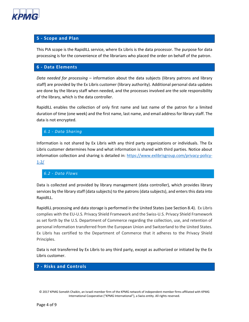

## <span id="page-3-0"></span>**5 - Scope and Plan**

This PIA scope is the RapidILL service, where Ex Libris is the data processor. The purpose for data processing is for the convenience of the librarians who placed the order on behalf of the patron.

#### <span id="page-3-1"></span>**6 - Data Elements**

*Data needed for processing* – information about the data subjects (library patrons and library staff) are provided by the Ex Libris customer (library authority). Additional personal data updates are done by the library staff when needed, and the processes involved are the sole responsibility of the library, which is the data controller.

RapidILL enables the collection of only first name and last name of the patron for a limited duration of time (one week) and the first name, last name, and email address for library staff. The data is not encrypted.

<span id="page-3-2"></span>*6.1 - Data Sharing*

Information is not shared by Ex Libris with any third party organizations or individuals. The Ex Libris customer determines how and what information is shared with third parties. Notice about information collection and sharing is detailed in: [https://www.exlibrisgroup.com/privacy-policy-](https://www.exlibrisgroup.com/privacy-policy-%201-2/)[1-2/](https://www.exlibrisgroup.com/privacy-policy-%201-2/)

## <span id="page-3-3"></span>*6.2 - Data Flows*

Data is collected and provided by library management (data controller), which provides library services by the library staff (data subjects) to the patrons (data subjects), and enters this data into RapidILL.

RapidILL processing and data storage is performed in the United States (see Section 8.4). Ex Libris complies with the EU-U.S. Privacy Shield Framework and the Swiss-U.S. Privacy Shield Framework as set forth by the U.S. Department of Commerce regarding the collection, use, and retention of personal information transferred from the European Union and Switzerland to the United States. Ex Libris has certified to the Department of Commerce that it adheres to the Privacy Shield Principles.

Data is not transferred by Ex Libris to any third party, except as authorized or initiated by the Ex Libris customer.

## <span id="page-3-4"></span>**7 - Risks and Controls**

<sup>© 2017</sup> KPMG Somekh Chaikin, an Israeli member firm of the KPMG network of independent member firms affiliated with KPMG International Cooperative ("KPMG International"), a Swiss entity. All rights reserved.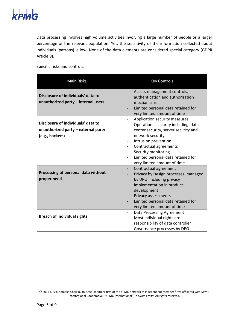

Data processing involves high volume activities involving a large number of people or a larger percentage of the relevant population. Yet, the sensitivity of the information collected about individuals (patrons) is low. None of the data elements are considered special category (GDPR Article 9).

Specific risks and controls:

| <b>Main Risks</b>                                                                            | <b>Key Controls</b>                                                                                                                                                                                                                                                                                                                     |
|----------------------------------------------------------------------------------------------|-----------------------------------------------------------------------------------------------------------------------------------------------------------------------------------------------------------------------------------------------------------------------------------------------------------------------------------------|
| Disclosure of individuals' data to<br>unauthorized party - internal users                    | Access management controls,<br>authentication and authorization<br>mechanisms<br>Limited personal data retained for<br>very limited amount of time                                                                                                                                                                                      |
| Disclosure of individuals' data to<br>unauthorized party - external party<br>(e.g., hackers) | Application security measures<br>$\overline{\phantom{0}}$<br>Operational security including: data<br>center security, server security and<br>network security<br>Intrusion prevention<br>Contractual agreements<br>$\overline{\phantom{0}}$<br>Security monitoring<br>Limited personal data retained for<br>very limited amount of time |
| Processing of personal data without<br>proper need                                           | Contractual agreement<br>Privacy by Design processes, managed<br>by DPO, including privacy<br>implementation in product<br>development<br>Privacy assessments<br>Limited personal data retained for<br>very limited amount of time                                                                                                      |
| <b>Breach of individual rights</b>                                                           | Data Processing Agreement<br>Most individual rights are<br>-<br>responsibility of data controller<br>Governance processes by DPO                                                                                                                                                                                                        |

<sup>© 2017</sup> KPMG Somekh Chaikin, an Israeli member firm of the KPMG network of independent member firms affiliated with KPMG International Cooperative ("KPMG International"), a Swiss entity. All rights reserved.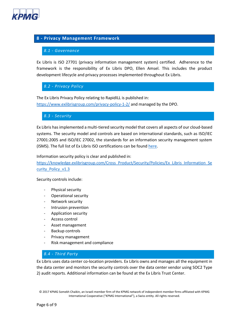

## <span id="page-5-1"></span><span id="page-5-0"></span>**8 - Privacy Management Framework**

#### *8.1 - Governance*

Ex Libris is ISO 27701 (privacy information management system) certified. Adherence to the framework is the responsibility of Ex Libris DPO, Ellen Amsel. This includes the product development lifecycle and privacy processes implemented throughout Ex Libris.

<span id="page-5-2"></span>*8.2 - Privacy Policy*

The Ex Libris Privacy Policy relating to RapidILL is published in: <https://www.exlibrisgroup.com/privacy-policy-1-2/> and managed by the DPO.

<span id="page-5-3"></span>*8.3 - Security*

Ex Libris has implemented a multi-tiered security model that covers all aspects of our cloud-based systems. The security model and controls are based on international standards, such as ISO/IEC 27001:2005 and ISO/IEC 27002, the standards for an information security management system (ISMS). The full list of Ex Libris ISO certifications can be found [here.](https://knowledge.exlibrisgroup.com/Cross-Product/Security/Certifications)

Information security policy is clear and published in:

[https://knowledge.exlibrisgroup.com/Cross\\_Product/Security/Policies/Ex\\_Libris\\_Information\\_Se](https://knowledge.exlibrisgroup.com/Cross_Product/Security/Policies/Ex_Libris_Information_Security_Policy_v1.3) [curity\\_Policy\\_v1.3](https://knowledge.exlibrisgroup.com/Cross_Product/Security/Policies/Ex_Libris_Information_Security_Policy_v1.3)

Security controls include:

- Physical security
- Operational security
- Network security
- Intrusion prevention
- Application security
- Access control
- Asset management
- Backup controls
- Privacy management
- Risk management and compliance

#### <span id="page-5-4"></span>*8.4 - Third Party*

Ex Libris uses data center co-location providers. Ex Libris owns and manages all the equipment in the data center and monitors the security controls over the data center vendor using SOC2 Type 2) audit reports. Additional information can be found at the Ex Libris Trust Center.

© 2017 KPMG Somekh Chaikin, an Israeli member firm of the KPMG network of independent member firms affiliated with KPMG International Cooperative ("KPMG International"), a Swiss entity. All rights reserved.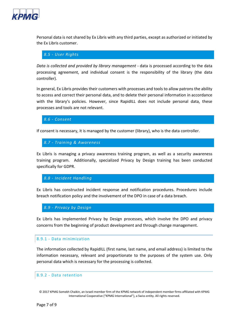

Personal data is not shared by Ex Libris with any third parties, except as authorized or initiated by the Ex Libris customer.

#### <span id="page-6-0"></span>*8.5 - User Rights*

*Data is collected and provided by library management* - data is processed according to the data processing agreement, and individual consent is the responsibility of the library (the data controller).

In general, Ex Libris provides their customers with processes and tools to allow patrons the ability to access and correct their personal data, and to delete their personal information in accordance with the library's policies. However, since RapidILL does not include personal data, these processes and tools are not relevant.

<span id="page-6-1"></span>*8.6 - Consent*

If consent is necessary, it is managed by the customer (library), who is the data controller.

#### <span id="page-6-2"></span>*8.7 - Training & Awareness*

Ex Libris is managing a privacy awareness training program, as well as a security awareness training program. Additionally, specialized Privacy by Design training has been conducted specifically for GDPR.

#### <span id="page-6-3"></span>*8.8 - Incident Handling*

Ex Libris has constructed incident response and notification procedures. Procedures include breach notification policy and the involvement of the DPO in case of a data breach.

#### <span id="page-6-4"></span>*8.9 - Privacy by Design*

Ex Libris has implemented Privacy by Design processes, which involve the DPO and privacy concerns from the beginning of product development and through change management.

#### 8.9.1 - Data minimization

The information collected by RapidILL (first name, last name, and email address) is limited to the information necessary, relevant and proportionate to the purposes of the system use. Only personal data which is necessary for the processing is collected.

#### 8.9.2 - Data retention

<sup>© 2017</sup> KPMG Somekh Chaikin, an Israeli member firm of the KPMG network of independent member firms affiliated with KPMG International Cooperative ("KPMG International"), a Swiss entity. All rights reserved.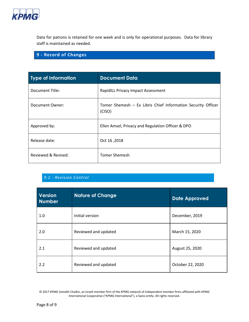

Data for patrons is retained for one week and is only for operational purposes. Data for library staff is maintained as needed.

# <span id="page-7-0"></span>**9 - Record of Changes**

| <b>Type of Information</b> | <b>Document Data</b>                                                   |
|----------------------------|------------------------------------------------------------------------|
| Document Title:            | RapidILL Privacy Impact Assessment                                     |
| Document Owner:            | Tomer Shemesh - Ex Libris Chief Information Security Officer<br>(CISO) |
| Approved by:               | Ellen Amsel, Privacy and Regulation Officer & DPO                      |
| Release date:              | Oct 16,2018                                                            |
| Reviewed & Revised:        | <b>Tomer Shemesh</b>                                                   |

# <span id="page-7-1"></span>*9.1 - Revision Control*

| <b>Version</b><br><b>Number</b> | <b>Nature of Change</b> | <b>Date Approved</b> |
|---------------------------------|-------------------------|----------------------|
| 1.0                             | Initial version         | December, 2019       |
| 2.0                             | Reviewed and updated    | March 15, 2020       |
| 2.1                             | Reviewed and updated    | August 25, 2020      |
| 2.2                             | Reviewed and updated    | October 22, 2020     |

© 2017 KPMG Somekh Chaikin, an Israeli member firm of the KPMG network of independent member firms affiliated with KPMG International Cooperative ("KPMG International"), a Swiss entity. All rights reserved.